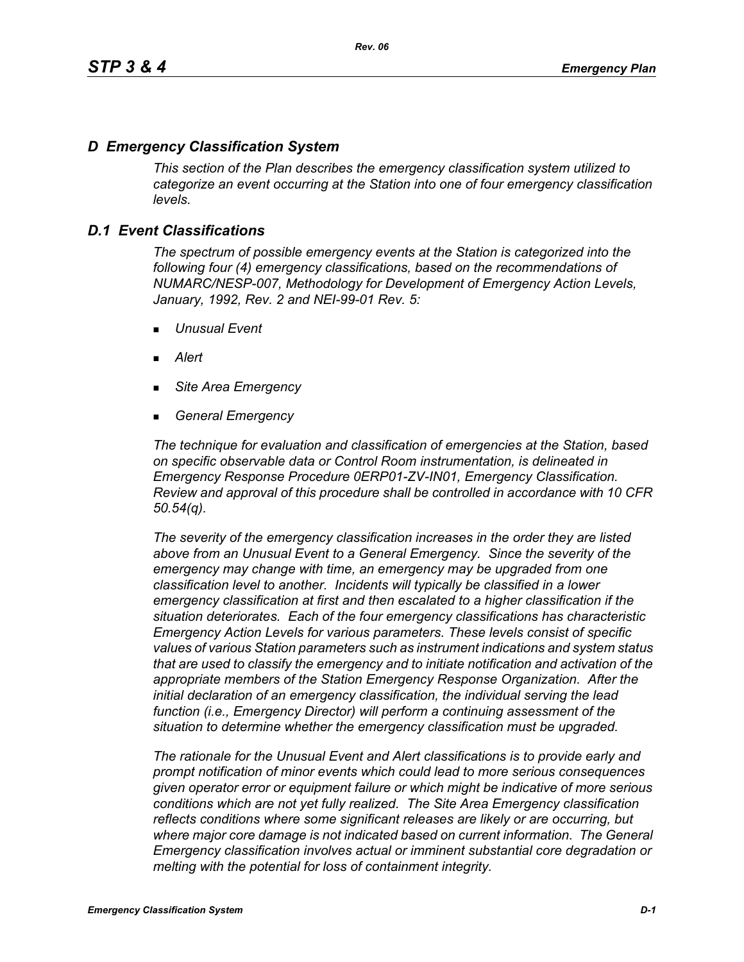# *D Emergency Classification System*

*This section of the Plan describes the emergency classification system utilized to categorize an event occurring at the Station into one of four emergency classification levels.*

# *D.1 Event Classifications*

*The spectrum of possible emergency events at the Station is categorized into the following four (4) emergency classifications, based on the recommendations of NUMARC/NESP-007, Methodology for Development of Emergency Action Levels, January, 1992, Rev. 2 and NEI-99-01 Rev. 5:*

- *Unusual Event*
- *Alert*
- *Site Area Emergency*
- *General Emergency*

*The technique for evaluation and classification of emergencies at the Station, based on specific observable data or Control Room instrumentation, is delineated in Emergency Response Procedure 0ERP01-ZV-IN01, Emergency Classification. Review and approval of this procedure shall be controlled in accordance with 10 CFR 50.54(q).*

*The severity of the emergency classification increases in the order they are listed above from an Unusual Event to a General Emergency. Since the severity of the emergency may change with time, an emergency may be upgraded from one classification level to another. Incidents will typically be classified in a lower emergency classification at first and then escalated to a higher classification if the situation deteriorates. Each of the four emergency classifications has characteristic Emergency Action Levels for various parameters. These levels consist of specific values of various Station parameters such as instrument indications and system status that are used to classify the emergency and to initiate notification and activation of the appropriate members of the Station Emergency Response Organization. After the initial declaration of an emergency classification, the individual serving the lead function (i.e., Emergency Director) will perform a continuing assessment of the situation to determine whether the emergency classification must be upgraded.*

*The rationale for the Unusual Event and Alert classifications is to provide early and prompt notification of minor events which could lead to more serious consequences given operator error or equipment failure or which might be indicative of more serious conditions which are not yet fully realized. The Site Area Emergency classification reflects conditions where some significant releases are likely or are occurring, but*  where major core damage is not indicated based on current information. The General *Emergency classification involves actual or imminent substantial core degradation or melting with the potential for loss of containment integrity.*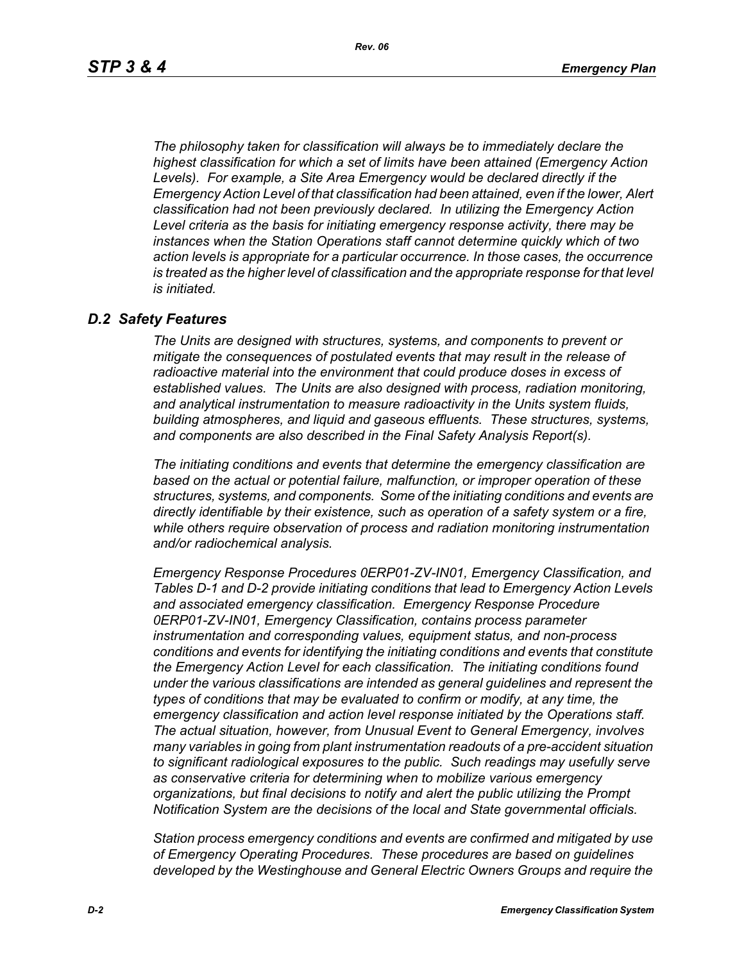*The philosophy taken for classification will always be to immediately declare the highest classification for which a set of limits have been attained (Emergency Action Levels). For example, a Site Area Emergency would be declared directly if the Emergency Action Level of that classification had been attained, even if the lower, Alert classification had not been previously declared. In utilizing the Emergency Action Level criteria as the basis for initiating emergency response activity, there may be instances when the Station Operations staff cannot determine quickly which of two action levels is appropriate for a particular occurrence. In those cases, the occurrence*  is treated as the higher level of classification and the appropriate response for that level *is initiated.*

## *D.2 Safety Features*

*The Units are designed with structures, systems, and components to prevent or mitigate the consequences of postulated events that may result in the release of radioactive material into the environment that could produce doses in excess of established values. The Units are also designed with process, radiation monitoring, and analytical instrumentation to measure radioactivity in the Units system fluids, building atmospheres, and liquid and gaseous effluents. These structures, systems, and components are also described in the Final Safety Analysis Report(s).*

*The initiating conditions and events that determine the emergency classification are based on the actual or potential failure, malfunction, or improper operation of these structures, systems, and components. Some of the initiating conditions and events are directly identifiable by their existence, such as operation of a safety system or a fire, while others require observation of process and radiation monitoring instrumentation and/or radiochemical analysis.*

*Emergency Response Procedures 0ERP01-ZV-IN01, Emergency Classification, and Tables D-1 and D-2 provide initiating conditions that lead to Emergency Action Levels and associated emergency classification. Emergency Response Procedure 0ERP01-ZV-IN01, Emergency Classification, contains process parameter instrumentation and corresponding values, equipment status, and non-process conditions and events for identifying the initiating conditions and events that constitute the Emergency Action Level for each classification. The initiating conditions found under the various classifications are intended as general guidelines and represent the types of conditions that may be evaluated to confirm or modify, at any time, the emergency classification and action level response initiated by the Operations staff. The actual situation, however, from Unusual Event to General Emergency, involves many variables in going from plant instrumentation readouts of a pre-accident situation to significant radiological exposures to the public. Such readings may usefully serve as conservative criteria for determining when to mobilize various emergency organizations, but final decisions to notify and alert the public utilizing the Prompt Notification System are the decisions of the local and State governmental officials.*

*Station process emergency conditions and events are confirmed and mitigated by use of Emergency Operating Procedures. These procedures are based on guidelines developed by the Westinghouse and General Electric Owners Groups and require the*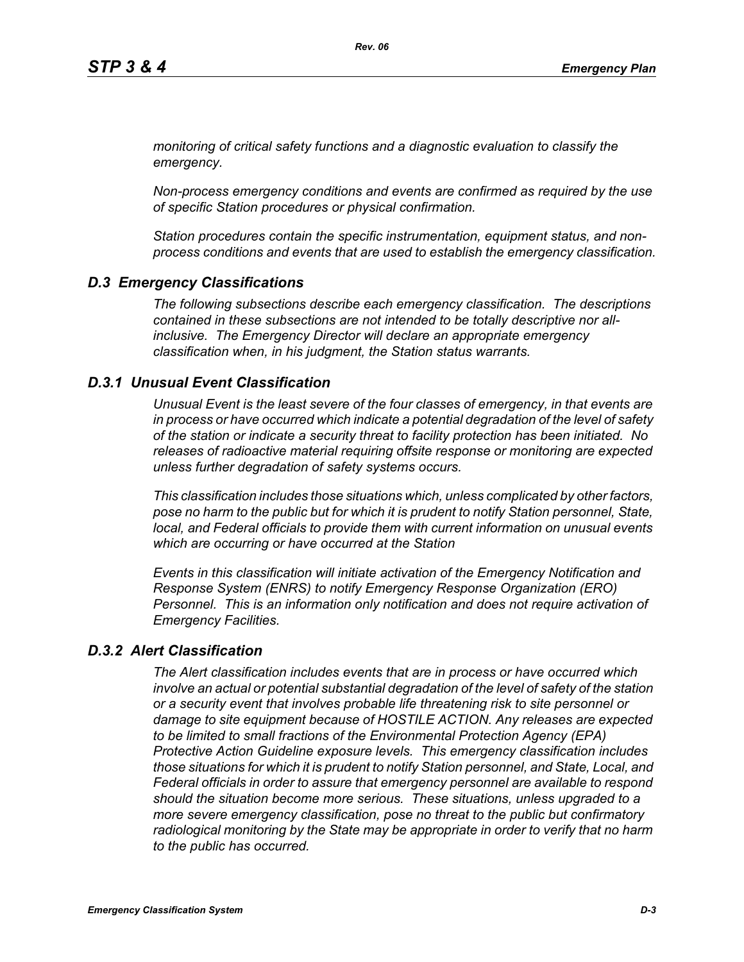*monitoring of critical safety functions and a diagnostic evaluation to classify the emergency.*

*Non-process emergency conditions and events are confirmed as required by the use of specific Station procedures or physical confirmation.*

*Station procedures contain the specific instrumentation, equipment status, and nonprocess conditions and events that are used to establish the emergency classification.*

# *D.3 Emergency Classifications*

*The following subsections describe each emergency classification. The descriptions contained in these subsections are not intended to be totally descriptive nor allinclusive. The Emergency Director will declare an appropriate emergency classification when, in his judgment, the Station status warrants.*

## *D.3.1 Unusual Event Classification*

*Unusual Event is the least severe of the four classes of emergency, in that events are in process or have occurred which indicate a potential degradation of the level of safety of the station or indicate a security threat to facility protection has been initiated. No releases of radioactive material requiring offsite response or monitoring are expected unless further degradation of safety systems occurs.*

*This classification includes those situations which, unless complicated by other factors, pose no harm to the public but for which it is prudent to notify Station personnel, State, local, and Federal officials to provide them with current information on unusual events which are occurring or have occurred at the Station*

*Events in this classification will initiate activation of the Emergency Notification and Response System (ENRS) to notify Emergency Response Organization (ERO) Personnel. This is an information only notification and does not require activation of Emergency Facilities.* 

# *D.3.2 Alert Classification*

*The Alert classification includes events that are in process or have occurred which involve an actual or potential substantial degradation of the level of safety of the station or a security event that involves probable life threatening risk to site personnel or damage to site equipment because of HOSTILE ACTION. Any releases are expected to be limited to small fractions of the Environmental Protection Agency (EPA) Protective Action Guideline exposure levels. This emergency classification includes those situations for which it is prudent to notify Station personnel, and State, Local, and Federal officials in order to assure that emergency personnel are available to respond should the situation become more serious. These situations, unless upgraded to a more severe emergency classification, pose no threat to the public but confirmatory radiological monitoring by the State may be appropriate in order to verify that no harm to the public has occurred.*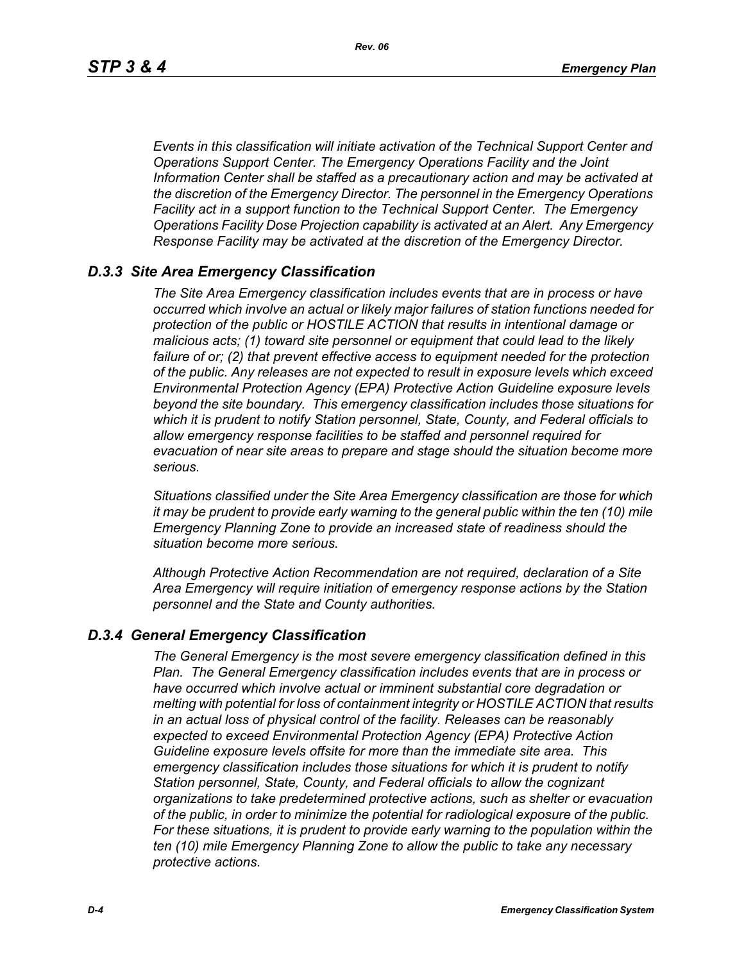*Events in this classification will initiate activation of the Technical Support Center and Operations Support Center. The Emergency Operations Facility and the Joint Information Center shall be staffed as a precautionary action and may be activated at the discretion of the Emergency Director. The personnel in the Emergency Operations Facility act in a support function to the Technical Support Center. The Emergency Operations Facility Dose Projection capability is activated at an Alert. Any Emergency Response Facility may be activated at the discretion of the Emergency Director.*

## *D.3.3 Site Area Emergency Classification*

*The Site Area Emergency classification includes events that are in process or have occurred which involve an actual or likely major failures of station functions needed for protection of the public or HOSTILE ACTION that results in intentional damage or malicious acts; (1) toward site personnel or equipment that could lead to the likely failure of or; (2) that prevent effective access to equipment needed for the protection of the public. Any releases are not expected to result in exposure levels which exceed Environmental Protection Agency (EPA) Protective Action Guideline exposure levels beyond the site boundary. This emergency classification includes those situations for which it is prudent to notify Station personnel, State, County, and Federal officials to allow emergency response facilities to be staffed and personnel required for evacuation of near site areas to prepare and stage should the situation become more serious.* 

*Situations classified under the Site Area Emergency classification are those for which it may be prudent to provide early warning to the general public within the ten (10) mile Emergency Planning Zone to provide an increased state of readiness should the situation become more serious.*

*Although Protective Action Recommendation are not required, declaration of a Site Area Emergency will require initiation of emergency response actions by the Station personnel and the State and County authorities.*

## *D.3.4 General Emergency Classification*

*The General Emergency is the most severe emergency classification defined in this Plan. The General Emergency classification includes events that are in process or have occurred which involve actual or imminent substantial core degradation or melting with potential for loss of containment integrity or HOSTILE ACTION that results in an actual loss of physical control of the facility. Releases can be reasonably expected to exceed Environmental Protection Agency (EPA) Protective Action Guideline exposure levels offsite for more than the immediate site area. This emergency classification includes those situations for which it is prudent to notify Station personnel, State, County, and Federal officials to allow the cognizant organizations to take predetermined protective actions, such as shelter or evacuation of the public, in order to minimize the potential for radiological exposure of the public. For these situations, it is prudent to provide early warning to the population within the ten (10) mile Emergency Planning Zone to allow the public to take any necessary protective actions.*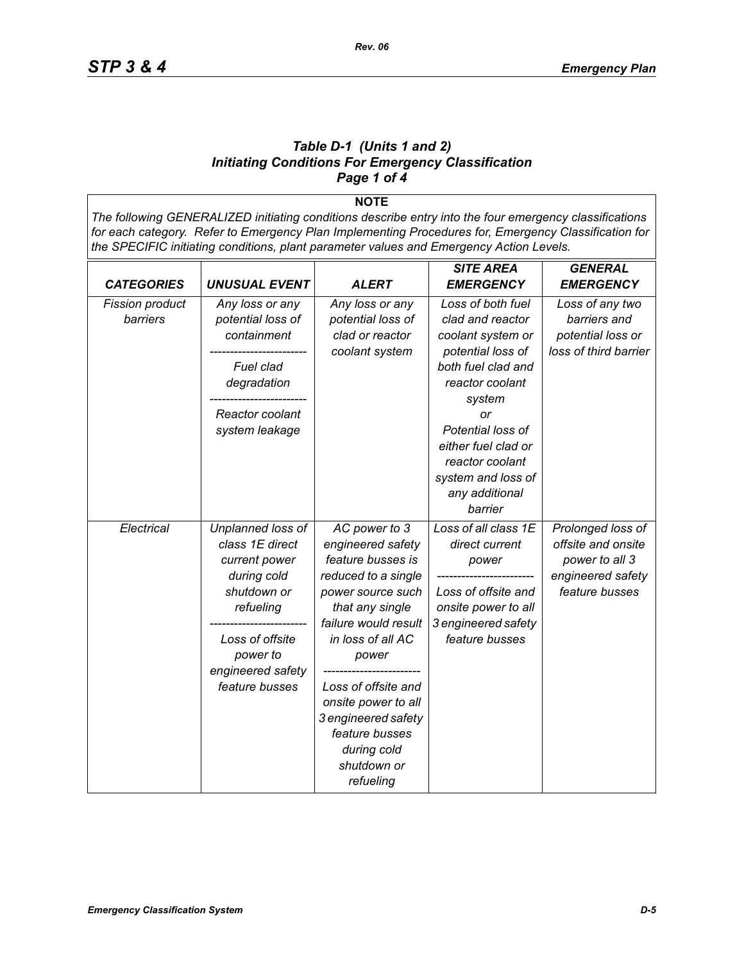## *Table D-1 (Units 1 and 2) Initiating Conditions For Emergency Classification Page 1 of 4*

**NOTE** *The following GENERALIZED initiating conditions describe entry into the four emergency classifications for each category. Refer to Emergency Plan Implementing Procedures for, Emergency Classification for the SPECIFIC initiating conditions, plant parameter values and Emergency Action Levels.*

|                                    |                                                                                                                                                                        |                                                                                                                                                                                                                                                                                                                | <b>SITE AREA</b>                                                                                                                                                                                                                                           | <b>GENERAL</b>                                                                                   |
|------------------------------------|------------------------------------------------------------------------------------------------------------------------------------------------------------------------|----------------------------------------------------------------------------------------------------------------------------------------------------------------------------------------------------------------------------------------------------------------------------------------------------------------|------------------------------------------------------------------------------------------------------------------------------------------------------------------------------------------------------------------------------------------------------------|--------------------------------------------------------------------------------------------------|
| <b>CATEGORIES</b>                  | <b>UNUSUAL EVENT</b>                                                                                                                                                   | <b>ALERT</b>                                                                                                                                                                                                                                                                                                   | <b>EMERGENCY</b>                                                                                                                                                                                                                                           | <b>EMERGENCY</b>                                                                                 |
| <b>Fission product</b><br>barriers | Any loss or any<br>potential loss of<br>containment<br>Fuel clad<br>degradation<br>Reactor coolant<br>system leakage                                                   | Any loss or any<br>potential loss of<br>clad or reactor<br>coolant system                                                                                                                                                                                                                                      | Loss of both fuel<br>clad and reactor<br>coolant system or<br>potential loss of<br>both fuel clad and<br>reactor coolant<br>system<br>or<br>Potential loss of<br>either fuel clad or<br>reactor coolant<br>system and loss of<br>any additional<br>barrier | Loss of any two<br>barriers and<br>potential loss or<br>loss of third barrier                    |
| Electrical                         | Unplanned loss of<br>class 1E direct<br>current power<br>during cold<br>shutdown or<br>refueling<br>Loss of offsite<br>power to<br>engineered safety<br>feature busses | AC power to 3<br>engineered safety<br>feature busses is<br>reduced to a single<br>power source such<br>that any single<br>failure would result<br>in loss of all AC<br>power<br>Loss of offsite and<br>onsite power to all<br>3 engineered safety<br>feature busses<br>during cold<br>shutdown or<br>refueling | Loss of all class 1E<br>direct current<br>power<br>Loss of offsite and<br>onsite power to all<br>3 engineered safety<br>feature busses                                                                                                                     | Prolonged loss of<br>offsite and onsite<br>power to all 3<br>engineered safety<br>feature busses |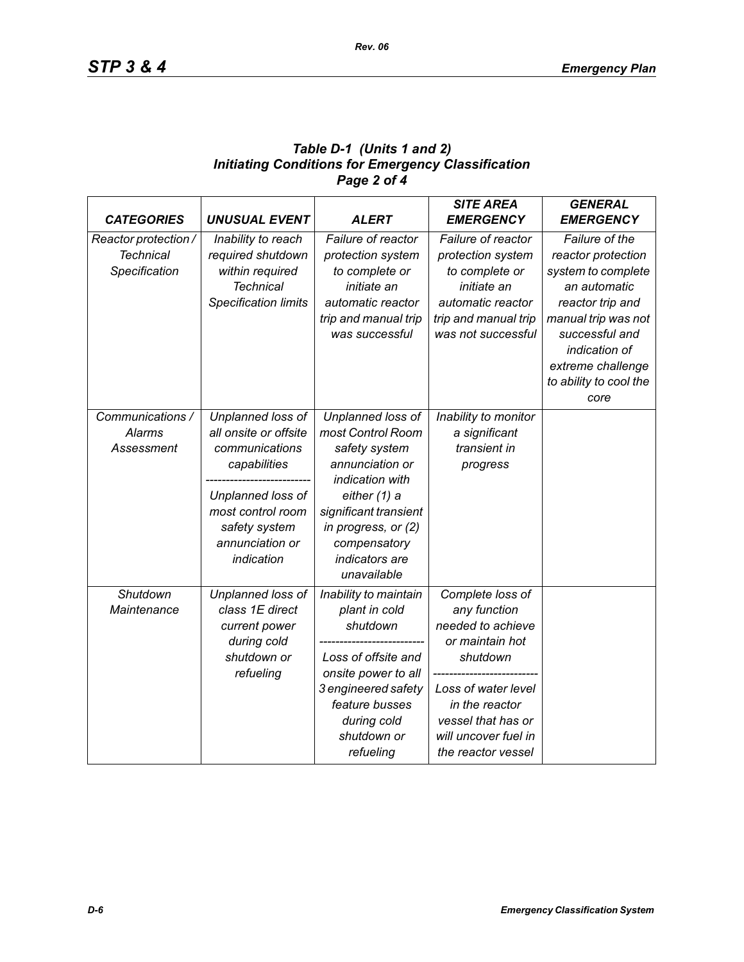# *Table D-1 (Units 1 and 2) Initiating Conditions for Emergency Classification Page 2 of 4*

| <b>CATEGORIES</b>    | <b>UNUSUAL EVENT</b>        | <b>ALERT</b>          | <b>SITE AREA</b><br><b>EMERGENCY</b> | <b>GENERAL</b><br><b>EMERGENCY</b> |
|----------------------|-----------------------------|-----------------------|--------------------------------------|------------------------------------|
| Reactor protection / | Inability to reach          | Failure of reactor    | Failure of reactor                   | Failure of the                     |
| <b>Technical</b>     | required shutdown           | protection system     | protection system                    | reactor protection                 |
| Specification        | within required             | to complete or        | to complete or                       | system to complete                 |
|                      | <b>Technical</b>            | initiate an           | initiate an                          | an automatic                       |
|                      | <b>Specification limits</b> | automatic reactor     | automatic reactor                    | reactor trip and                   |
|                      |                             | trip and manual trip  | trip and manual trip                 | manual trip was not                |
|                      |                             | was successful        | was not successful                   | successful and                     |
|                      |                             |                       |                                      | indication of                      |
|                      |                             |                       |                                      | extreme challenge                  |
|                      |                             |                       |                                      | to ability to cool the             |
|                      |                             |                       |                                      | core                               |
| Communications /     | Unplanned loss of           | Unplanned loss of     | Inability to monitor                 |                                    |
| <b>Alarms</b>        | all onsite or offsite       | most Control Room     | a significant                        |                                    |
| Assessment           | communications              | safety system         | transient in                         |                                    |
|                      | capabilities                | annunciation or       | progress                             |                                    |
|                      |                             | indication with       |                                      |                                    |
|                      | Unplanned loss of           | either (1) a          |                                      |                                    |
|                      | most control room           | significant transient |                                      |                                    |
|                      | safety system               | in progress, or (2)   |                                      |                                    |
|                      | annunciation or             | compensatory          |                                      |                                    |
|                      | indication                  | indicators are        |                                      |                                    |
|                      |                             | unavailable           |                                      |                                    |
| Shutdown             | Unplanned loss of           | Inability to maintain | Complete loss of                     |                                    |
| Maintenance          | class 1E direct             | plant in cold         | any function                         |                                    |
|                      | current power               | shutdown              | needed to achieve                    |                                    |
|                      | during cold                 |                       | or maintain hot                      |                                    |
|                      | shutdown or                 | Loss of offsite and   | shutdown                             |                                    |
|                      | refueling                   | onsite power to all   |                                      |                                    |
|                      |                             | 3 engineered safety   | Loss of water level                  |                                    |
|                      |                             | feature busses        | in the reactor                       |                                    |
|                      |                             | during cold           | vessel that has or                   |                                    |
|                      |                             | shutdown or           | will uncover fuel in                 |                                    |
|                      |                             | refueling             | the reactor vessel                   |                                    |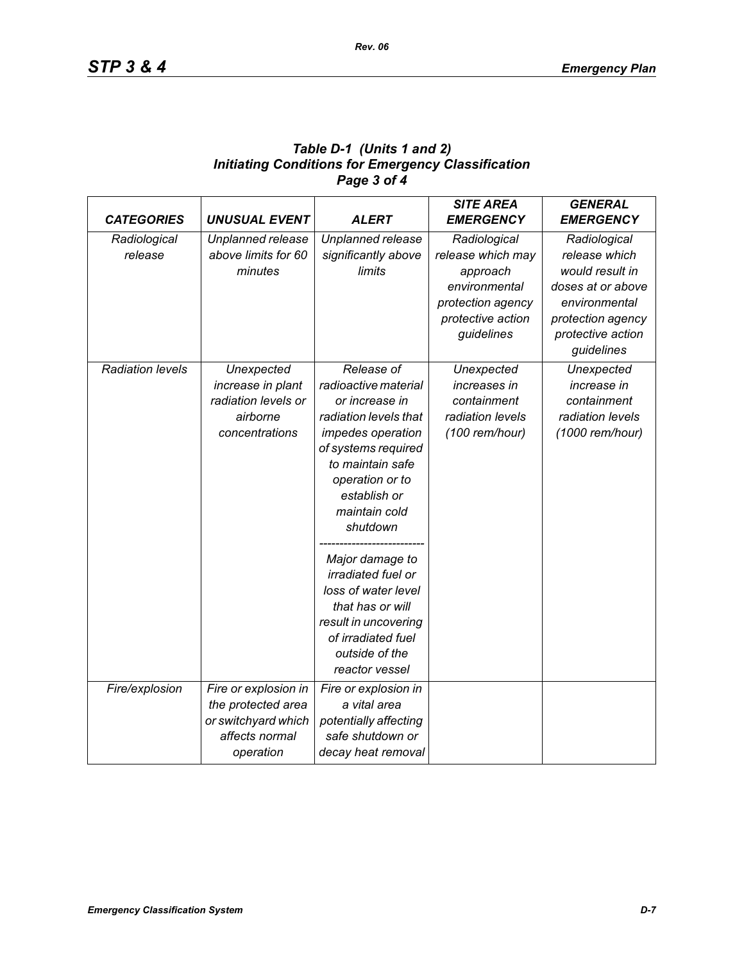| Table D-1 (Units 1 and 2)                                 |
|-----------------------------------------------------------|
| <b>Initiating Conditions for Emergency Classification</b> |
| Page 3 of 4                                               |

| <b>CATEGORIES</b>       | <b>UNUSUAL EVENT</b>                                                                             | <b>ALERT</b>                                                                                                                                                                                                                                                                                                                                                                        | <b>SITE AREA</b><br><b>EMERGENCY</b>                                                                                   | <b>GENERAL</b><br><b>EMERGENCY</b>                                                                                                             |
|-------------------------|--------------------------------------------------------------------------------------------------|-------------------------------------------------------------------------------------------------------------------------------------------------------------------------------------------------------------------------------------------------------------------------------------------------------------------------------------------------------------------------------------|------------------------------------------------------------------------------------------------------------------------|------------------------------------------------------------------------------------------------------------------------------------------------|
| Radiological<br>release | Unplanned release<br>above limits for 60<br>minutes                                              | Unplanned release<br>significantly above<br>limits                                                                                                                                                                                                                                                                                                                                  | Radiological<br>release which may<br>approach<br>environmental<br>protection agency<br>protective action<br>guidelines | Radiological<br>release which<br>would result in<br>doses at or above<br>environmental<br>protection agency<br>protective action<br>guidelines |
| <b>Radiation levels</b> | Unexpected<br>increase in plant<br>radiation levels or<br>airborne<br>concentrations             | Release of<br>radioactive material<br>or increase in<br>radiation levels that<br>impedes operation<br>of systems required<br>to maintain safe<br>operation or to<br>establish or<br>maintain cold<br>shutdown<br>Major damage to<br>irradiated fuel or<br>loss of water level<br>that has or will<br>result in uncovering<br>of irradiated fuel<br>outside of the<br>reactor vessel | Unexpected<br>increases in<br>containment<br>radiation levels<br>(100 rem/hour)                                        | Unexpected<br>increase in<br>containment<br>radiation levels<br>(1000 rem/hour)                                                                |
| Fire/explosion          | Fire or explosion in<br>the protected area<br>or switchyard which<br>affects normal<br>operation | Fire or explosion in<br>a vital area<br>potentially affecting<br>safe shutdown or<br>decay heat removal                                                                                                                                                                                                                                                                             |                                                                                                                        |                                                                                                                                                |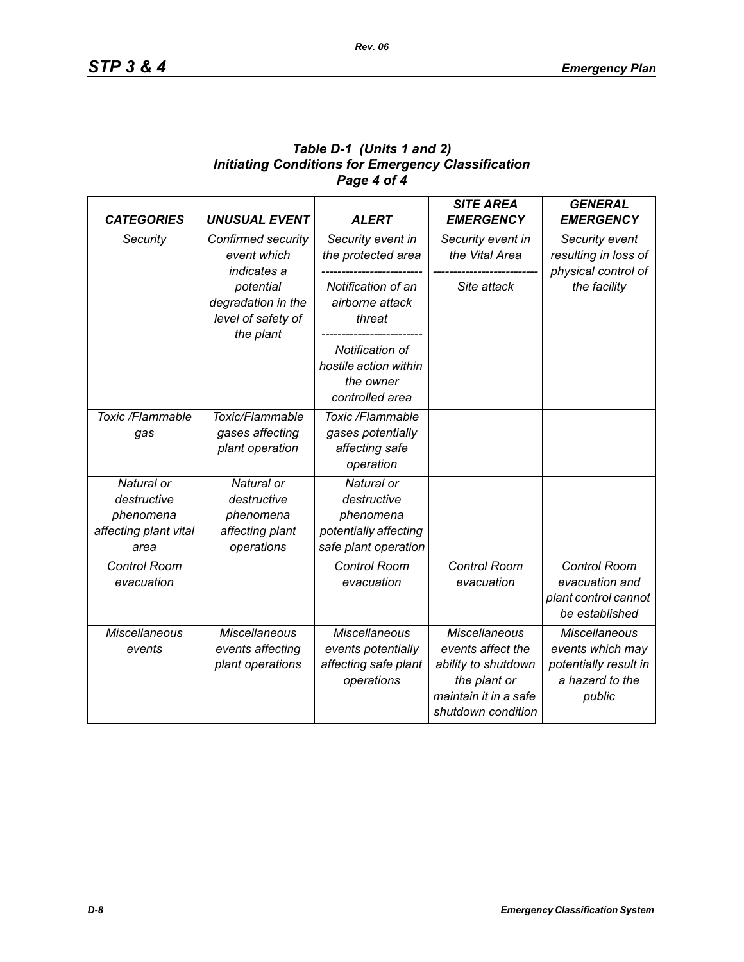# *Table D-1 (Units 1 and 2) Initiating Conditions for Emergency Classification Page 4 of 4*

| <b>CATEGORIES</b>                                                       | <b>UNUSUAL EVENT</b>                                                    | <b>ALERT</b>                                                                            | <b>SITE AREA</b><br><b>EMERGENCY</b>                                                                                            | <b>GENERAL</b><br><b>EMERGENCY</b>                                                             |
|-------------------------------------------------------------------------|-------------------------------------------------------------------------|-----------------------------------------------------------------------------------------|---------------------------------------------------------------------------------------------------------------------------------|------------------------------------------------------------------------------------------------|
| Security                                                                | Confirmed security<br>event which<br>indicates a                        | Security event in<br>the protected area                                                 | Security event in<br>the Vital Area                                                                                             | Security event<br>resulting in loss of<br>physical control of                                  |
|                                                                         | potential<br>degradation in the<br>level of safety of<br>the plant      | Notification of an<br>airborne attack<br>threat                                         | Site attack                                                                                                                     | the facility                                                                                   |
|                                                                         |                                                                         | Notification of<br>hostile action within<br>the owner<br>controlled area                |                                                                                                                                 |                                                                                                |
| Toxic /Flammable<br>gas                                                 | Toxic/Flammable<br>gases affecting<br>plant operation                   | Toxic /Flammable<br>gases potentially<br>affecting safe<br>operation                    |                                                                                                                                 |                                                                                                |
| Natural or<br>destructive<br>phenomena<br>affecting plant vital<br>area | Natural or<br>destructive<br>phenomena<br>affecting plant<br>operations | Natural or<br>destructive<br>phenomena<br>potentially affecting<br>safe plant operation |                                                                                                                                 |                                                                                                |
| <b>Control Room</b><br>evacuation                                       |                                                                         | <b>Control Room</b><br>evacuation                                                       | Control Room<br>evacuation                                                                                                      | Control Room<br>evacuation and<br>plant control cannot<br>be established                       |
| <b>Miscellaneous</b><br>events                                          | <b>Miscellaneous</b><br>events affecting<br>plant operations            | <b>Miscellaneous</b><br>events potentially<br>affecting safe plant<br>operations        | <b>Miscellaneous</b><br>events affect the<br>ability to shutdown<br>the plant or<br>maintain it in a safe<br>shutdown condition | <b>Miscellaneous</b><br>events which may<br>potentially result in<br>a hazard to the<br>public |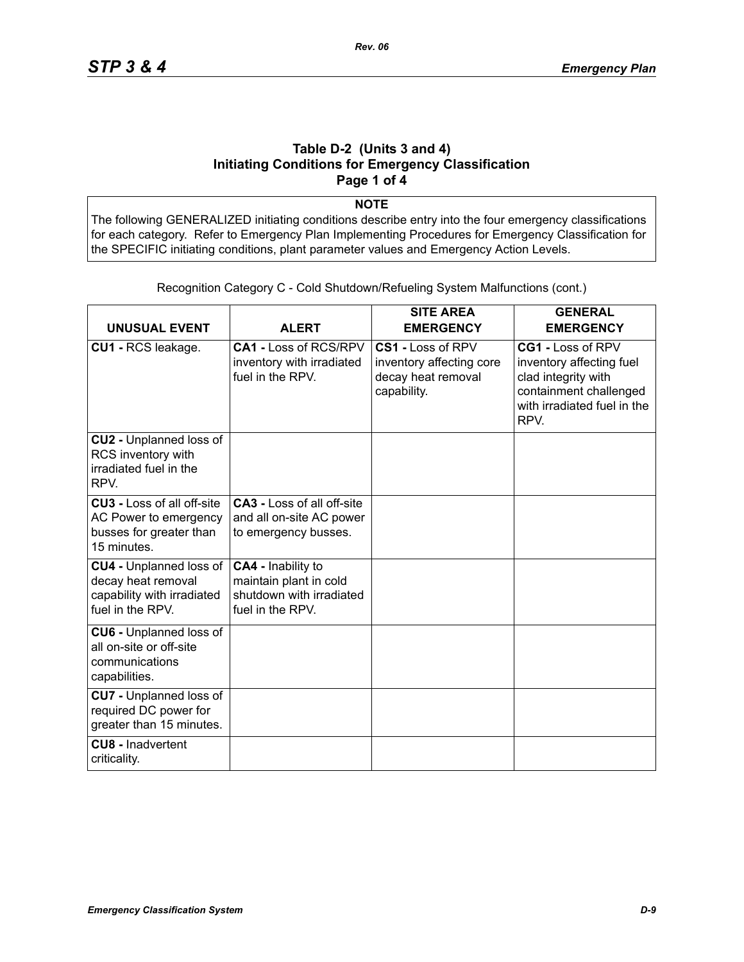### **Table D-2 (Units 3 and 4) Initiating Conditions for Emergency Classification Page 1 of 4**

**NOTE**

The following GENERALIZED initiating conditions describe entry into the four emergency classifications for each category. Refer to Emergency Plan Implementing Procedures for Emergency Classification for the SPECIFIC initiating conditions, plant parameter values and Emergency Action Levels.

| <b>UNUSUAL EVENT</b>                                                                                   | <b>ALERT</b>                                                                                 | <b>SITE AREA</b><br><b>EMERGENCY</b>                                               | <b>GENERAL</b><br><b>EMERGENCY</b>                                                                                                    |
|--------------------------------------------------------------------------------------------------------|----------------------------------------------------------------------------------------------|------------------------------------------------------------------------------------|---------------------------------------------------------------------------------------------------------------------------------------|
| CU1 - RCS leakage.                                                                                     | CA1 - Loss of RCS/RPV<br>inventory with irradiated<br>fuel in the RPV.                       | CS1 - Loss of RPV<br>inventory affecting core<br>decay heat removal<br>capability. | CG1 - Loss of RPV<br>inventory affecting fuel<br>clad integrity with<br>containment challenged<br>with irradiated fuel in the<br>RPV. |
| CU2 - Unplanned loss of<br>RCS inventory with<br>irradiated fuel in the<br>RPV.                        |                                                                                              |                                                                                    |                                                                                                                                       |
| <b>CU3 - Loss of all off-site</b><br>AC Power to emergency<br>busses for greater than<br>15 minutes.   | <b>CA3 - Loss of all off-site</b><br>and all on-site AC power<br>to emergency busses.        |                                                                                    |                                                                                                                                       |
| <b>CU4 - Unplanned loss of</b><br>decay heat removal<br>capability with irradiated<br>fuel in the RPV. | CA4 - Inability to<br>maintain plant in cold<br>shutdown with irradiated<br>fuel in the RPV. |                                                                                    |                                                                                                                                       |
| <b>CU6 - Unplanned loss of</b><br>all on-site or off-site<br>communications<br>capabilities.           |                                                                                              |                                                                                    |                                                                                                                                       |
| <b>CU7</b> - Unplanned loss of<br>required DC power for<br>greater than 15 minutes.                    |                                                                                              |                                                                                    |                                                                                                                                       |
| <b>CU8 - Inadvertent</b><br>criticality.                                                               |                                                                                              |                                                                                    |                                                                                                                                       |

Recognition Category C - Cold Shutdown/Refueling System Malfunctions (cont.)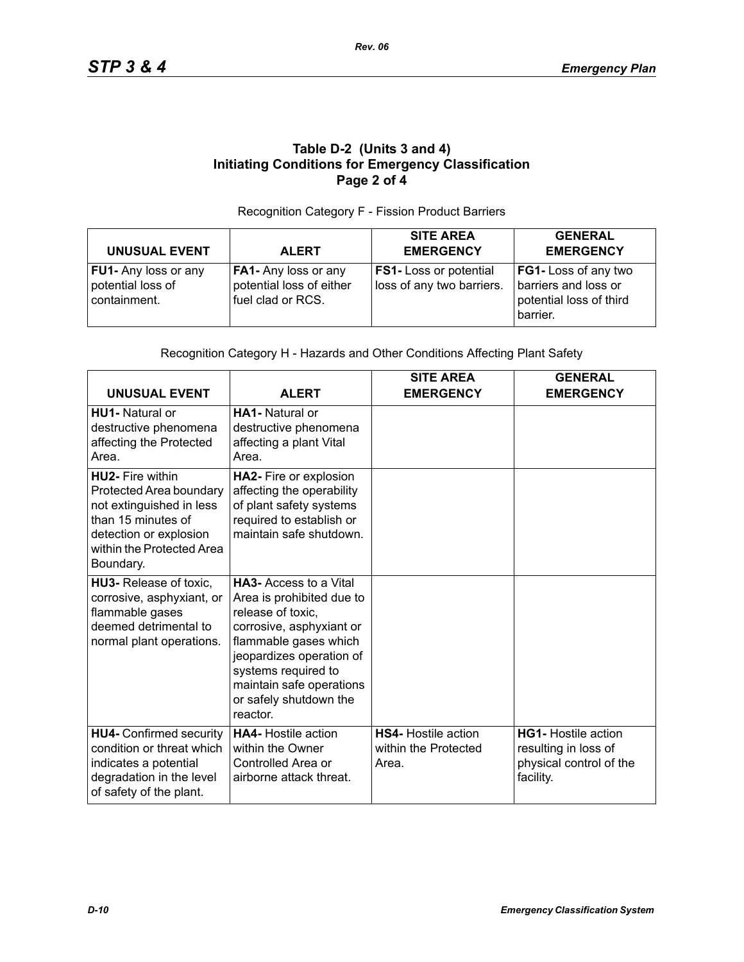# **Table D-2 (Units 3 and 4) Initiating Conditions for Emergency Classification Page 2 of 4**

#### Recognition Category F - Fission Product Barriers

| <b>UNUSUAL EVENT</b>                                             | <b>ALERT</b>                                                          | <b>SITE AREA</b><br><b>EMERGENCY</b>                       | <b>GENERAL</b><br><b>EMERGENCY</b>                                                  |
|------------------------------------------------------------------|-----------------------------------------------------------------------|------------------------------------------------------------|-------------------------------------------------------------------------------------|
| <b>FU1-</b> Any loss or any<br>potential loss of<br>containment. | FA1- Any loss or any<br>potential loss of either<br>fuel clad or RCS. | <b>FS1-</b> Loss or potential<br>loss of any two barriers. | FG1- Loss of any two<br>barriers and loss or<br>potential loss of third<br>barrier. |

#### Recognition Category H - Hazards and Other Conditions Affecting Plant Safety

| <b>UNUSUAL EVENT</b>                                                                                                                                                     | <b>ALERT</b>                                                                                                                                                                                                                                             | <b>SITE AREA</b><br><b>EMERGENCY</b>                        | <b>GENERAL</b><br><b>EMERGENCY</b>                                                         |
|--------------------------------------------------------------------------------------------------------------------------------------------------------------------------|----------------------------------------------------------------------------------------------------------------------------------------------------------------------------------------------------------------------------------------------------------|-------------------------------------------------------------|--------------------------------------------------------------------------------------------|
| <b>HU1-</b> Natural or<br>destructive phenomena<br>affecting the Protected<br>Area.                                                                                      | <b>HA1-</b> Natural or<br>destructive phenomena<br>affecting a plant Vital<br>Area.                                                                                                                                                                      |                                                             |                                                                                            |
| <b>HU2-</b> Fire within<br>Protected Area boundary<br>not extinguished in less<br>than 15 minutes of<br>detection or explosion<br>within the Protected Area<br>Boundary. | HA2- Fire or explosion<br>affecting the operability<br>of plant safety systems<br>required to establish or<br>maintain safe shutdown.                                                                                                                    |                                                             |                                                                                            |
| HU3- Release of toxic,<br>corrosive, asphyxiant, or<br>flammable gases<br>deemed detrimental to<br>normal plant operations.                                              | <b>HA3-Access to a Vital</b><br>Area is prohibited due to<br>release of toxic,<br>corrosive, asphyxiant or<br>flammable gases which<br>jeopardizes operation of<br>systems required to<br>maintain safe operations<br>or safely shutdown the<br>reactor. |                                                             |                                                                                            |
| <b>HU4- Confirmed security</b><br>condition or threat which<br>indicates a potential<br>degradation in the level<br>of safety of the plant.                              | <b>HA4-</b> Hostile action<br>within the Owner<br>Controlled Area or<br>airborne attack threat.                                                                                                                                                          | <b>HS4-</b> Hostile action<br>within the Protected<br>Area. | <b>HG1-</b> Hostile action<br>resulting in loss of<br>physical control of the<br>facility. |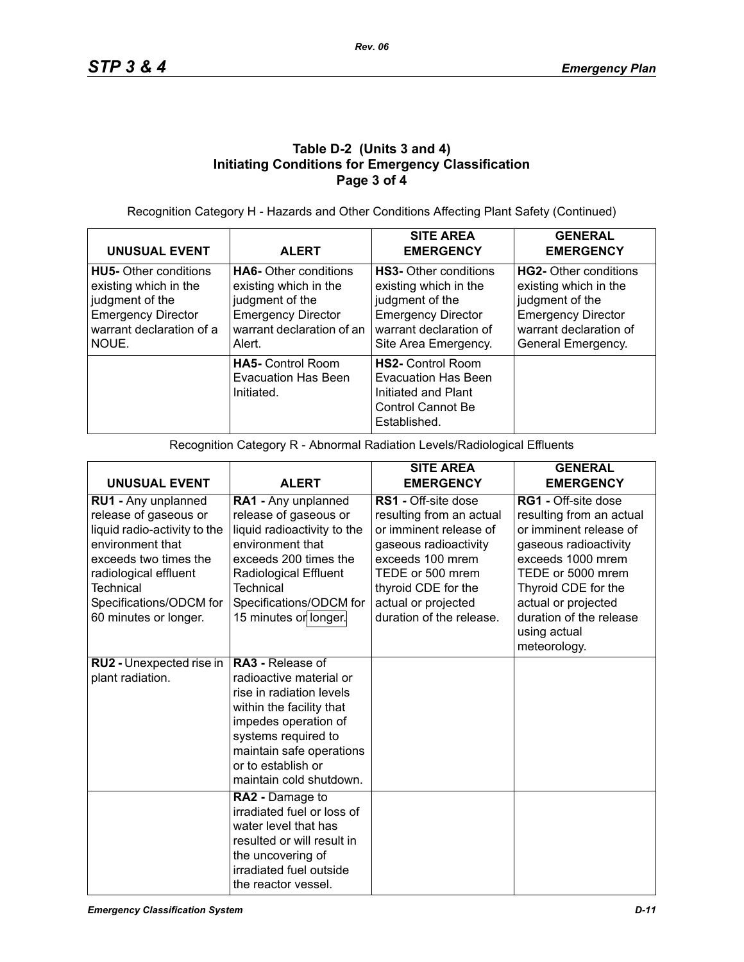# **Table D-2 (Units 3 and 4) Initiating Conditions for Emergency Classification Page 3 of 4**

Recognition Category H - Hazards and Other Conditions Affecting Plant Safety (Continued)

| <b>UNUSUAL EVENT</b>                                                                                                                       | <b>ALERT</b>                                                                                                                                 | <b>SITE AREA</b><br><b>EMERGENCY</b>                                                                                                                    | <b>GENERAL</b><br><b>EMERGENCY</b>                                                                                                             |
|--------------------------------------------------------------------------------------------------------------------------------------------|----------------------------------------------------------------------------------------------------------------------------------------------|---------------------------------------------------------------------------------------------------------------------------------------------------------|------------------------------------------------------------------------------------------------------------------------------------------------|
| <b>HU5-</b> Other conditions<br>existing which in the<br>judgment of the<br><b>Emergency Director</b><br>warrant declaration of a<br>NOUE. | <b>HA6-</b> Other conditions<br>existing which in the<br>judgment of the<br><b>Emergency Director</b><br>warrant declaration of an<br>Alert. | <b>HS3-</b> Other conditions<br>existing which in the<br>judgment of the<br><b>Emergency Director</b><br>warrant declaration of<br>Site Area Emergency. | HG2- Other conditions<br>existing which in the<br>judgment of the<br><b>Emergency Director</b><br>warrant declaration of<br>General Emergency. |
|                                                                                                                                            | <b>HA5-</b> Control Room<br><b>Evacuation Has Been</b><br>Initiated.                                                                         | <b>HS2-</b> Control Room<br>Evacuation Has Been<br>Initiated and Plant<br>Control Cannot Be<br>Established.                                             |                                                                                                                                                |

Recognition Category R - Abnormal Radiation Levels/Radiological Effluents

|                                                                                                                                                                                                                     |                                                                                                                                                                                                                                        | <b>SITE AREA</b>                                                                                                                                                                                                     | <b>GENERAL</b>                                                                                                                                                                                                                        |
|---------------------------------------------------------------------------------------------------------------------------------------------------------------------------------------------------------------------|----------------------------------------------------------------------------------------------------------------------------------------------------------------------------------------------------------------------------------------|----------------------------------------------------------------------------------------------------------------------------------------------------------------------------------------------------------------------|---------------------------------------------------------------------------------------------------------------------------------------------------------------------------------------------------------------------------------------|
| <b>UNUSUAL EVENT</b>                                                                                                                                                                                                | <b>ALERT</b>                                                                                                                                                                                                                           | <b>EMERGENCY</b>                                                                                                                                                                                                     | <b>EMERGENCY</b>                                                                                                                                                                                                                      |
| RU1 - Any unplanned<br>release of gaseous or<br>liquid radio-activity to the<br>environment that<br>exceeds two times the<br>radiological effluent<br>Technical<br>Specifications/ODCM for<br>60 minutes or longer. | RA1 - Any unplanned<br>release of gaseous or<br>liquid radioactivity to the<br>environment that<br>exceeds 200 times the<br>Radiological Effluent<br>Technical<br>Specifications/ODCM for<br>15 minutes or longer.                     | RS1 - Off-site dose<br>resulting from an actual<br>or imminent release of<br>gaseous radioactivity<br>exceeds 100 mrem<br>TEDE or 500 mrem<br>thyroid CDE for the<br>actual or projected<br>duration of the release. | RG1 - Off-site dose<br>resulting from an actual<br>or imminent release of<br>gaseous radioactivity<br>exceeds 1000 mrem<br>TEDE or 5000 mrem<br>Thyroid CDE for the<br>actual or projected<br>duration of the release<br>using actual |
|                                                                                                                                                                                                                     |                                                                                                                                                                                                                                        |                                                                                                                                                                                                                      | meteorology.                                                                                                                                                                                                                          |
| RU2 - Unexpected rise in<br>plant radiation.                                                                                                                                                                        | <b>RA3 - Release of</b><br>radioactive material or<br>rise in radiation levels<br>within the facility that<br>impedes operation of<br>systems required to<br>maintain safe operations<br>or to establish or<br>maintain cold shutdown. |                                                                                                                                                                                                                      |                                                                                                                                                                                                                                       |
|                                                                                                                                                                                                                     | RA2 - Damage to<br>irradiated fuel or loss of<br>water level that has<br>resulted or will result in<br>the uncovering of<br>irradiated fuel outside<br>the reactor vessel.                                                             |                                                                                                                                                                                                                      |                                                                                                                                                                                                                                       |